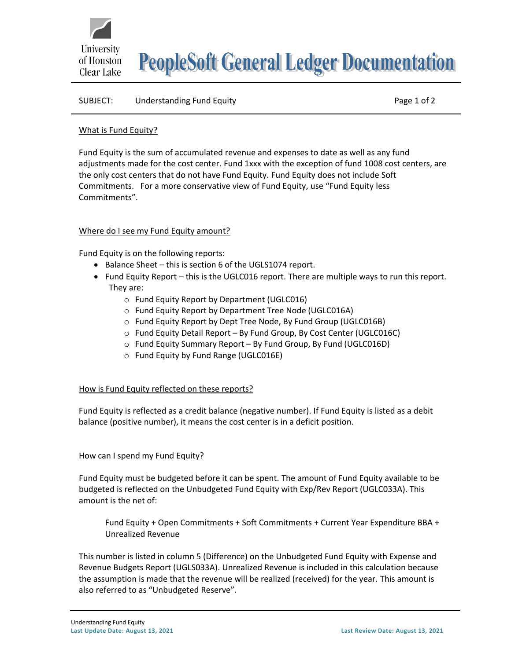

**PeopleSoft General Ledger Documentation** 

## SUBJECT: Understanding Fund Equity **Page 1 of 2** and 2

## What is Fund Equity?

Fund Equity is the sum of accumulated revenue and expenses to date as well as any fund adjustments made for the cost center. Fund 1xxx with the exception of fund 1008 cost centers, are the only cost centers that do not have Fund Equity. Fund Equity does not include Soft Commitments. For a more conservative view of Fund Equity, use "Fund Equity less Commitments".

# Where do I see my Fund Equity amount?

Fund Equity is on the following reports:

- Balance Sheet this is section 6 of the UGLS1074 report.
- Fund Equity Report this is the UGLC016 report. There are multiple ways to run this report. They are:
	- o Fund Equity Report by Department (UGLC016)
	- o Fund Equity Report by Department Tree Node (UGLC016A)
	- o Fund Equity Report by Dept Tree Node, By Fund Group (UGLC016B)
	- o Fund Equity Detail Report By Fund Group, By Cost Center (UGLC016C)
	- o Fund Equity Summary Report By Fund Group, By Fund (UGLC016D)
	- o Fund Equity by Fund Range (UGLC016E)

### How is Fund Equity reflected on these reports?

Fund Equity is reflected as a credit balance (negative number). If Fund Equity is listed as a debit balance (positive number), it means the cost center is in a deficit position.

# How can I spend my Fund Equity?

Fund Equity must be budgeted before it can be spent. The amount of Fund Equity available to be budgeted is reflected on the Unbudgeted Fund Equity with Exp/Rev Report (UGLC033A). This amount is the net of:

Fund Equity + Open Commitments + Soft Commitments + Current Year Expenditure BBA + Unrealized Revenue

This number is listed in column 5 (Difference) on the Unbudgeted Fund Equity with Expense and Revenue Budgets Report (UGLS033A). Unrealized Revenue is included in this calculation because the assumption is made that the revenue will be realized (received) for the year. This amount is also referred to as "Unbudgeted Reserve".